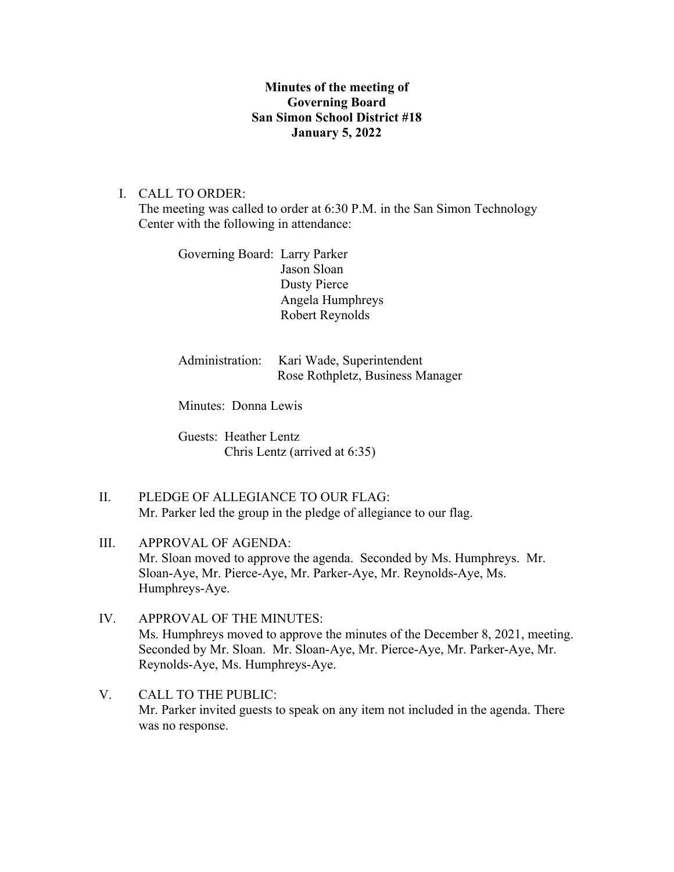## **Minutes of the meeting of Governing Board San Simon School District #18 January 5, 2022**

## I. CALL TO ORDER:

The meeting was called to order at 6:30 P.M. in the San Simon Technology Center with the following in attendance:

Governing Board: Larry Parker Jason Sloan Dusty Pierce Angela Humphreys Robert Reynolds

Administration: Kari Wade, Superintendent Rose Rothpletz, Business Manager

Minutes: Donna Lewis

Guests: Heather Lentz Chris Lentz (arrived at 6:35)

- II. PLEDGE OF ALLEGIANCE TO OUR FLAG: Mr. Parker led the group in the pledge of allegiance to our flag.
- III. APPROVAL OF AGENDA: Mr. Sloan moved to approve the agenda. Seconded by Ms. Humphreys. Mr. Sloan-Aye, Mr. Pierce-Aye, Mr. Parker-Aye, Mr. Reynolds-Aye, Ms. Humphreys-Aye.
- IV. APPROVAL OF THE MINUTES: Ms. Humphreys moved to approve the minutes of the December 8, 2021, meeting. Seconded by Mr. Sloan. Mr. Sloan-Aye, Mr. Pierce-Aye, Mr. Parker-Aye, Mr. Reynolds-Aye, Ms. Humphreys-Aye.
- V. CALL TO THE PUBLIC: Mr. Parker invited guests to speak on any item not included in the agenda. There was no response.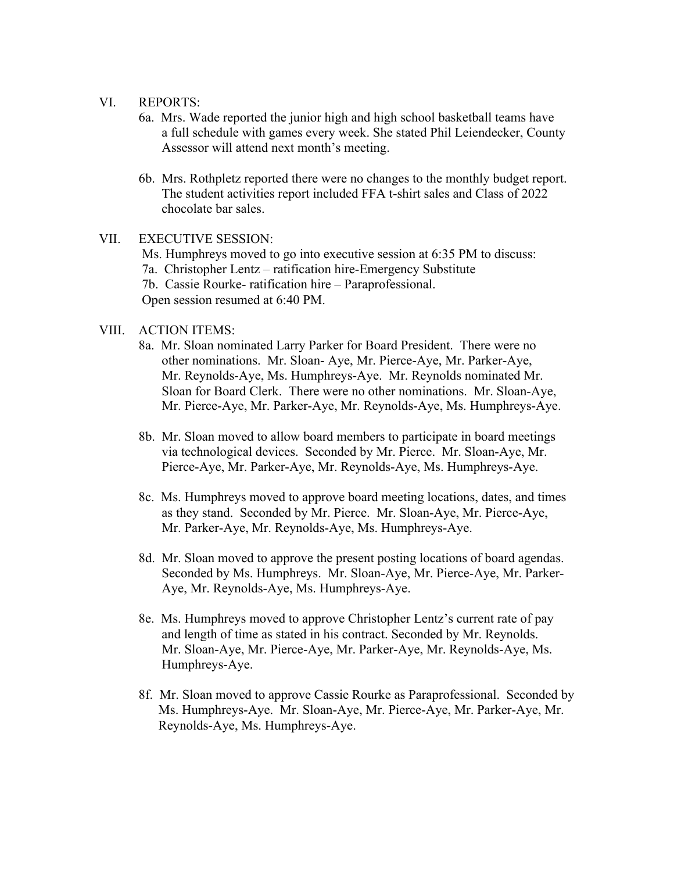#### VI. REPORTS:

- 6a. Mrs. Wade reported the junior high and high school basketball teams have a full schedule with games every week. She stated Phil Leiendecker, County Assessor will attend next month's meeting.
- 6b. Mrs. Rothpletz reported there were no changes to the monthly budget report. The student activities report included FFA t-shirt sales and Class of 2022 chocolate bar sales.

### VII. EXECUTIVE SESSION:

Ms. Humphreys moved to go into executive session at 6:35 PM to discuss: 7a. Christopher Lentz – ratification hire-Emergency Substitute 7b. Cassie Rourke- ratification hire – Paraprofessional. Open session resumed at 6:40 PM.

### VIII. ACTION ITEMS:

- 8a. Mr. Sloan nominated Larry Parker for Board President. There were no other nominations. Mr. Sloan- Aye, Mr. Pierce-Aye, Mr. Parker-Aye, Mr. Reynolds-Aye, Ms. Humphreys-Aye. Mr. Reynolds nominated Mr. Sloan for Board Clerk. There were no other nominations. Mr. Sloan-Aye, Mr. Pierce-Aye, Mr. Parker-Aye, Mr. Reynolds-Aye, Ms. Humphreys-Aye.
- 8b. Mr. Sloan moved to allow board members to participate in board meetings via technological devices. Seconded by Mr. Pierce. Mr. Sloan-Aye, Mr. Pierce-Aye, Mr. Parker-Aye, Mr. Reynolds-Aye, Ms. Humphreys-Aye.
- 8c. Ms. Humphreys moved to approve board meeting locations, dates, and times as they stand. Seconded by Mr. Pierce. Mr. Sloan-Aye, Mr. Pierce-Aye, Mr. Parker-Aye, Mr. Reynolds-Aye, Ms. Humphreys-Aye.
- 8d. Mr. Sloan moved to approve the present posting locations of board agendas. Seconded by Ms. Humphreys. Mr. Sloan-Aye, Mr. Pierce-Aye, Mr. Parker- Aye, Mr. Reynolds-Aye, Ms. Humphreys-Aye.
- 8e. Ms. Humphreys moved to approve Christopher Lentz's current rate of pay and length of time as stated in his contract. Seconded by Mr. Reynolds. Mr. Sloan-Aye, Mr. Pierce-Aye, Mr. Parker-Aye, Mr. Reynolds-Aye, Ms. Humphreys-Aye.
- 8f. Mr. Sloan moved to approve Cassie Rourke as Paraprofessional. Seconded by Ms. Humphreys-Aye. Mr. Sloan-Aye, Mr. Pierce-Aye, Mr. Parker-Aye, Mr. Reynolds-Aye, Ms. Humphreys-Aye.